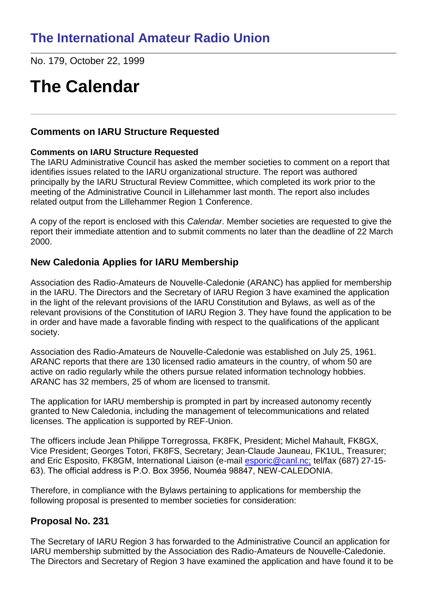No. 179, October 22, 1999

# **The Calendar**

### **Comments on IARU Structure Requested**

#### **Comments on IARU Structure Requested**

The IARU Administrative Council has asked the member societies to comment on a report that identifies issues related to the IARU organizational structure. The report was authored principally by the IARU Structural Review Committee, which completed its work prior to the meeting of the Administrative Council in Lillehammer last month. The report also includes related output from the Lillehammer Region 1 Conference.

A copy of the report is enclosed with this *Calendar*. Member societies are requested to give the report their immediate attention and to submit comments no later than the deadline of 22 March 2000.

### **New Caledonia Applies for IARU Membership**

Association des Radio-Amateurs de Nouvelle-Caledonie (ARANC) has applied for membership in the IARU. The Directors and the Secretary of IARU Region 3 have examined the application in the light of the relevant provisions of the IARU Constitution and Bylaws, as well as of the relevant provisions of the Constitution of IARU Region 3. They have found the application to be in order and have made a favorable finding with respect to the qualifications of the applicant society.

Association des Radio-Amateurs de Nouvelle-Caledonie was established on July 25, 1961. ARANC reports that there are 130 licensed radio amateurs in the country, of whom 50 are active on radio regularly while the others pursue related information technology hobbies. ARANC has 32 members, 25 of whom are licensed to transmit.

The application for IARU membership is prompted in part by increased autonomy recently granted to New Caledonia, including the management of telecommunications and related licenses. The application is supported by REF-Union.

The officers include Jean Philippe Torregrossa, FK8FK, President; Michel Mahault, FK8GX, Vice President; Georges Totori, FK8FS, Secretary; Jean-Claude Jauneau, FK1UL, Treasurer; and Eric Esposito, FK8GM, International Liaison (e-mail [esporic@canl.nc;](mailto:esporic@canl.nc;) tel/fax (687) 27-15- 63). The official address is P.O. Box 3956, Nouméa 98847, NEW-CALEDONIA.

Therefore, in compliance with the Bylaws pertaining to applications for membership the following proposal is presented to member societies for consideration:

### **Proposal No. 231**

The Secretary of IARU Region 3 has forwarded to the Administrative Council an application for IARU membership submitted by the Association des Radio-Amateurs de Nouvelle-Caledonie. The Directors and Secretary of Region 3 have examined the application and have found it to be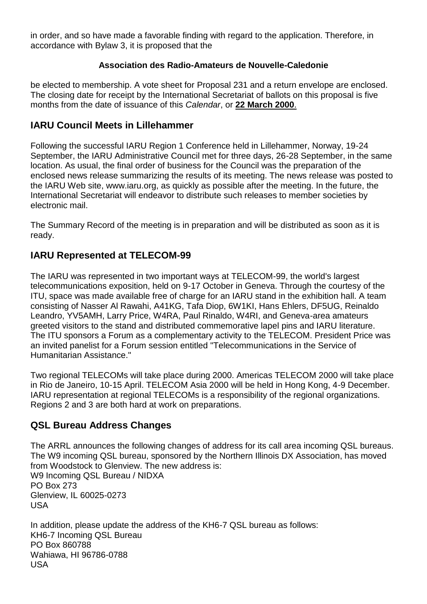in order, and so have made a favorable finding with regard to the application. Therefore, in accordance with Bylaw 3, it is proposed that the

#### **Association des Radio-Amateurs de Nouvelle-Caledonie**

be elected to membership. A vote sheet for Proposal 231 and a return envelope are enclosed. The closing date for receipt by the International Secretariat of ballots on this proposal is five months from the date of issuance of this *Calendar*, or **22 March 2000**.

### **IARU Council Meets in Lillehammer**

Following the successful IARU Region 1 Conference held in Lillehammer, Norway, 19-24 September, the IARU Administrative Council met for three days, 26-28 September, in the same location. As usual, the final order of business for the Council was the preparation of the enclosed news release summarizing the results of its meeting. The news release was posted to the IARU Web site, www.iaru.org, as quickly as possible after the meeting. In the future, the International Secretariat will endeavor to distribute such releases to member societies by electronic mail.

The Summary Record of the meeting is in preparation and will be distributed as soon as it is ready.

## **IARU Represented at TELECOM-99**

The IARU was represented in two important ways at TELECOM-99, the world's largest telecommunications exposition, held on 9-17 October in Geneva. Through the courtesy of the ITU, space was made available free of charge for an IARU stand in the exhibition hall. A team consisting of Nasser Al Rawahi, A41KG, Tafa Diop, 6W1KI, Hans Ehlers, DF5UG, Reinaldo Leandro, YV5AMH, Larry Price, W4RA, Paul Rinaldo, W4RI, and Geneva-area amateurs greeted visitors to the stand and distributed commemorative lapel pins and IARU literature. The ITU sponsors a Forum as a complementary activity to the TELECOM. President Price was an invited panelist for a Forum session entitled "Telecommunications in the Service of Humanitarian Assistance."

Two regional TELECOMs will take place during 2000. Americas TELECOM 2000 will take place in Rio de Janeiro, 10-15 April. TELECOM Asia 2000 will be held in Hong Kong, 4-9 December. IARU representation at regional TELECOMs is a responsibility of the regional organizations. Regions 2 and 3 are both hard at work on preparations.

### **QSL Bureau Address Changes**

The ARRL announces the following changes of address for its call area incoming QSL bureaus. The W9 incoming QSL bureau, sponsored by the Northern Illinois DX Association, has moved from Woodstock to Glenview. The new address is: W9 Incoming QSL Bureau / NIDXA PO Box 273 Glenview, IL 60025-0273 USA

In addition, please update the address of the KH6-7 QSL bureau as follows: KH6-7 Incoming QSL Bureau PO Box 860788 Wahiawa, HI 96786-0788 USA